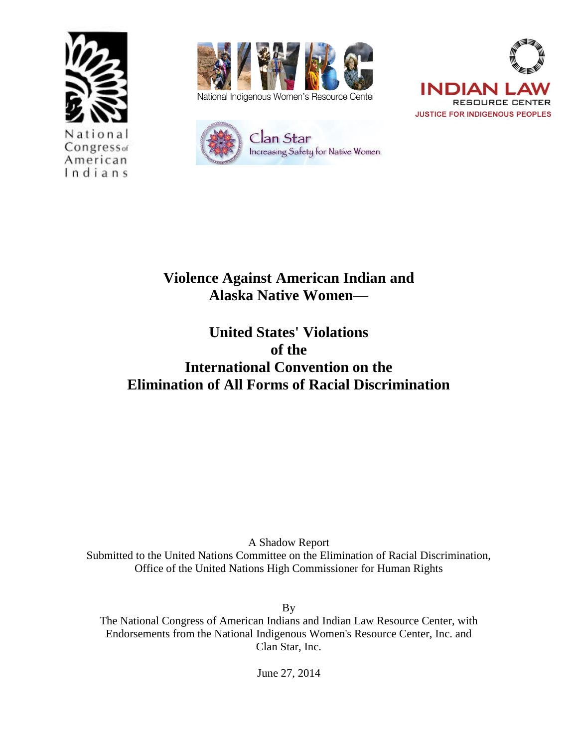



National Indigenous Women's Resource Center





# **Violence Against American Indian and Alaska Native Women—**

## **United States' Violations of the International Convention on the Elimination of All Forms of Racial Discrimination**

A Shadow Report Submitted to the United Nations Committee on the Elimination of Racial Discrimination, Office of the United Nations High Commissioner for Human Rights

By

The National Congress of American Indians and Indian Law Resource Center, with Endorsements from the National Indigenous Women's Resource Center, Inc. and Clan Star, Inc.

June 27, 2014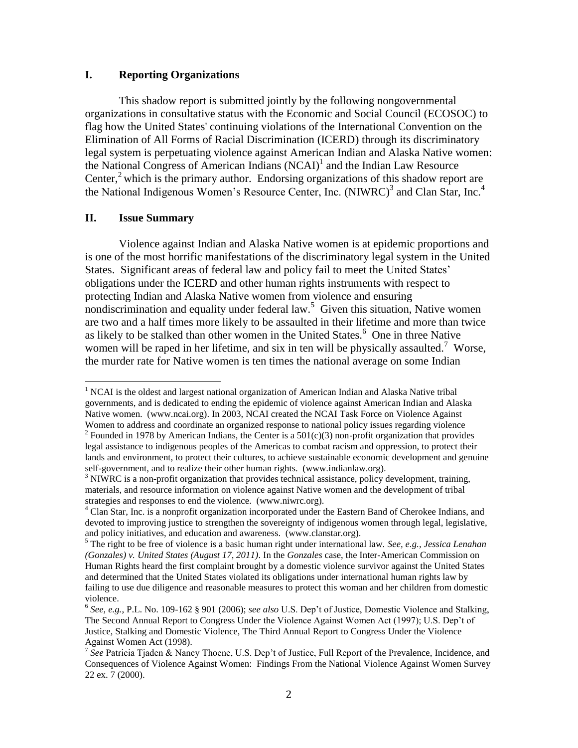#### **I. Reporting Organizations**

This shadow report is submitted jointly by the following nongovernmental organizations in consultative status with the Economic and Social Council (ECOSOC) to flag how the United States' continuing violations of the International Convention on the Elimination of All Forms of Racial Discrimination (ICERD) through its discriminatory legal system is perpetuating violence against American Indian and Alaska Native women: the National Congress of American Indians (NCAI)<sup>1</sup> and the Indian Law Resource Center,<sup>2</sup> which is the primary author. Endorsing organizations of this shadow report are the National Indigenous Women's Resource Center, Inc. (NIWRC)<sup>3</sup> and Clan Star, Inc.<sup>4</sup>

#### **II. Issue Summary**

l

Violence against Indian and Alaska Native women is at epidemic proportions and is one of the most horrific manifestations of the discriminatory legal system in the United States. Significant areas of federal law and policy fail to meet the United States' obligations under the ICERD and other human rights instruments with respect to protecting Indian and Alaska Native women from violence and ensuring nondiscrimination and equality under federal law.<sup>5</sup> Given this situation, Native women are two and a half times more likely to be assaulted in their lifetime and more than twice as likely to be stalked than other women in the United States.<sup>6</sup> One in three Native women will be raped in her lifetime, and six in ten will be physically assaulted.<sup>7</sup> Worse, the murder rate for Native women is ten times the national average on some Indian

<sup>&</sup>lt;sup>1</sup> NCAI is the oldest and largest national organization of American Indian and Alaska Native tribal governments, and is dedicated to ending the epidemic of violence against American Indian and Alaska Native women. (www.ncai.org). In 2003, NCAI created the NCAI Task Force on Violence Against Women to address and coordinate an organized response to national policy issues regarding violence <sup>2</sup> Founded in 1978 by American Indians, the Center is a  $501(c)(3)$  non-profit organization that provides legal assistance to indigenous peoples of the Americas to combat racism and oppression, to protect their lands and environment, to protect their cultures, to achieve sustainable economic development and genuine

self-government, and to realize their other human rights. (www.indianlaw.org).

 $3$  NIWRC is a non-profit organization that provides technical assistance, policy development, training, materials, and resource information on violence against Native women and the development of tribal strategies and responses to end the violence. (www.niwrc.org).

<sup>&</sup>lt;sup>4</sup> Clan Star, Inc. is a nonprofit organization incorporated under the Eastern Band of Cherokee Indians, and devoted to improving justice to strengthen the sovereignty of indigenous women through legal, legislative, and policy initiatives, and education and awareness. (www.clanstar.org).

<sup>5</sup> The right to be free of violence is a basic human right under international law. *See, e.g., Jessica Lenahan (Gonzales) v. United States (August 17, 2011)*. In the *Gonzales* case, the Inter-American Commission on Human Rights heard the first complaint brought by a domestic violence survivor against the United States and determined that the United States violated its obligations under international human rights law by failing to use due diligence and reasonable measures to protect this woman and her children from domestic violence.

<sup>6</sup> *See, e.g.*, P.L. No. 109-162 § 901 (2006); *see also* U.S. Dep't of Justice, Domestic Violence and Stalking, The Second Annual Report to Congress Under the Violence Against Women Act (1997); U.S. Dep't of Justice, Stalking and Domestic Violence, The Third Annual Report to Congress Under the Violence Against Women Act (1998).<br><sup>7</sup> See Patricia Tjaden & Nancy Thoene, U.S. Dep't of Justice, Full Report of the Prevalence, Incidence, and

Consequences of Violence Against Women: Findings From the National Violence Against Women Survey 22 ex. 7 (2000).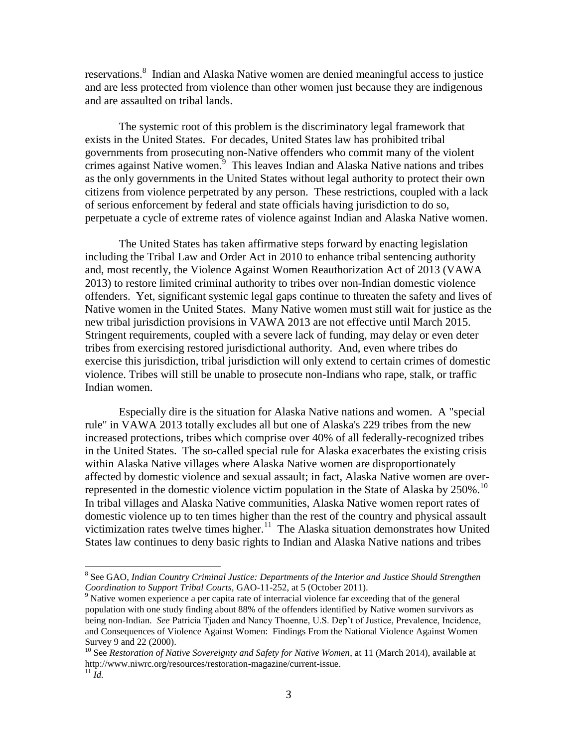reservations.<sup>8</sup> Indian and Alaska Native women are denied meaningful access to justice and are less protected from violence than other women just because they are indigenous and are assaulted on tribal lands.

The systemic root of this problem is the discriminatory legal framework that exists in the United States. For decades, United States law has prohibited tribal governments from prosecuting non-Native offenders who commit many of the violent  $c$ rimes against Native women.  $9$  This leaves Indian and Alaska Native nations and tribes as the only governments in the United States without legal authority to protect their own citizens from violence perpetrated by any person. These restrictions, coupled with a lack of serious enforcement by federal and state officials having jurisdiction to do so, perpetuate a cycle of extreme rates of violence against Indian and Alaska Native women.

The United States has taken affirmative steps forward by enacting legislation including the Tribal Law and Order Act in 2010 to enhance tribal sentencing authority and, most recently, the Violence Against Women Reauthorization Act of 2013 (VAWA 2013) to restore limited criminal authority to tribes over non-Indian domestic violence offenders. Yet, significant systemic legal gaps continue to threaten the safety and lives of Native women in the United States. Many Native women must still wait for justice as the new tribal jurisdiction provisions in VAWA 2013 are not effective until March 2015. Stringent requirements, coupled with a severe lack of funding, may delay or even deter tribes from exercising restored jurisdictional authority. And, even where tribes do exercise this jurisdiction, tribal jurisdiction will only extend to certain crimes of domestic violence. Tribes will still be unable to prosecute non-Indians who rape, stalk, or traffic Indian women.

Especially dire is the situation for Alaska Native nations and women. A "special rule" in VAWA 2013 totally excludes all but one of Alaska's 229 tribes from the new increased protections, tribes which comprise over 40% of all federally-recognized tribes in the United States. The so-called special rule for Alaska exacerbates the existing crisis within Alaska Native villages where Alaska Native women are disproportionately affected by domestic violence and sexual assault; in fact, Alaska Native women are overrepresented in the domestic violence victim population in the State of Alaska by  $250\%$ .<sup>10</sup> In tribal villages and Alaska Native communities, Alaska Native women report rates of domestic violence up to ten times higher than the rest of the country and physical assault victimization rates twelve times higher.<sup>11</sup> The Alaska situation demonstrates how United States law continues to deny basic rights to Indian and Alaska Native nations and tribes

 $\overline{\phantom{a}}$ 

<sup>&</sup>lt;sup>8</sup> See GAO, Indian Country Criminal Justice: Departments of the Interior and Justice Should Strengthen *Coordination to Support Tribal Courts,* GAO-11-252, at 5 (October 2011).

<sup>&</sup>lt;sup>9</sup> Native women experience a per capita rate of interracial violence far exceeding that of the general population with one study finding about 88% of the offenders identified by Native women survivors as being non-Indian. *See* Patricia Tjaden and Nancy Thoenne, U.S. Dep't of Justice, Prevalence, Incidence, and Consequences of Violence Against Women: Findings From the National Violence Against Women Survey 9 and 22 (2000).

<sup>10</sup> See *Restoration of Native Sovereignty and Safety for Native Women*, at 11 (March 2014), available at http://www.niwrc.org/resources/restoration-magazine/current-issue.  $^{11}$  *Id.*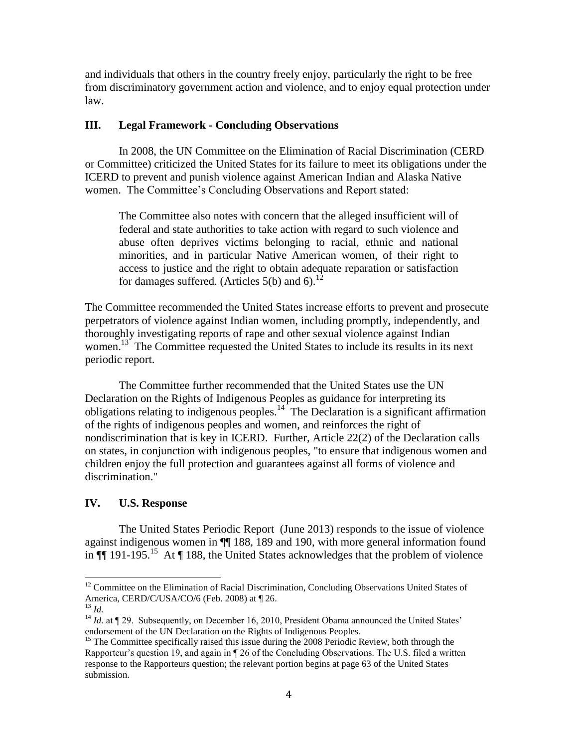and individuals that others in the country freely enjoy, particularly the right to be free from discriminatory government action and violence, and to enjoy equal protection under law.

#### **III. Legal Framework - Concluding Observations**

In 2008, the UN Committee on the Elimination of Racial Discrimination (CERD or Committee) criticized the United States for its failure to meet its obligations under the ICERD to prevent and punish violence against American Indian and Alaska Native women. The Committee's Concluding Observations and Report stated:

The Committee also notes with concern that the alleged insufficient will of federal and state authorities to take action with regard to such violence and abuse often deprives victims belonging to racial, ethnic and national minorities, and in particular Native American women, of their right to access to justice and the right to obtain adequate reparation or satisfaction for damages suffered. (Articles  $5(b)$  and  $6$ ).<sup>12</sup>

The Committee recommended the United States increase efforts to prevent and prosecute perpetrators of violence against Indian women, including promptly, independently, and thoroughly investigating reports of rape and other sexual violence against Indian women.<sup>13</sup> The Committee requested the United States to include its results in its next periodic report.

The Committee further recommended that the United States use the UN Declaration on the Rights of Indigenous Peoples as guidance for interpreting its obligations relating to indigenous peoples. $14$  The Declaration is a significant affirmation of the rights of indigenous peoples and women, and reinforces the right of nondiscrimination that is key in ICERD. Further, Article 22(2) of the Declaration calls on states, in conjunction with indigenous peoples, "to ensure that indigenous women and children enjoy the full protection and guarantees against all forms of violence and discrimination."

#### **IV. U.S. Response**

The United States Periodic Report (June 2013) responds to the issue of violence against indigenous women in ¶¶ 188, 189 and 190, with more general information found in  $\P$  191-195.<sup>15</sup> At  $\P$  188, the United States acknowledges that the problem of violence

 $\overline{\phantom{a}}$ 

<sup>&</sup>lt;sup>12</sup> Committee on the Elimination of Racial Discrimination, Concluding Observations United States of America, CERD/C/USA/CO/6 (Feb. 2008) at ¶ 26.

 $^{13}$  *Id.* 

<sup>&</sup>lt;sup>14</sup> *Id.* at  $\llbracket 29$ . Subsequently, on December 16, 2010, President Obama announced the United States' endorsement of the UN Declaration on the Rights of Indigenous Peoples.

<sup>&</sup>lt;sup>15</sup> The Committee specifically raised this issue during the  $2008$  Periodic Review, both through the Rapporteur's question 19, and again in ¶ 26 of the Concluding Observations. The U.S. filed a written response to the Rapporteurs question; the relevant portion begins at page 63 of the United States submission.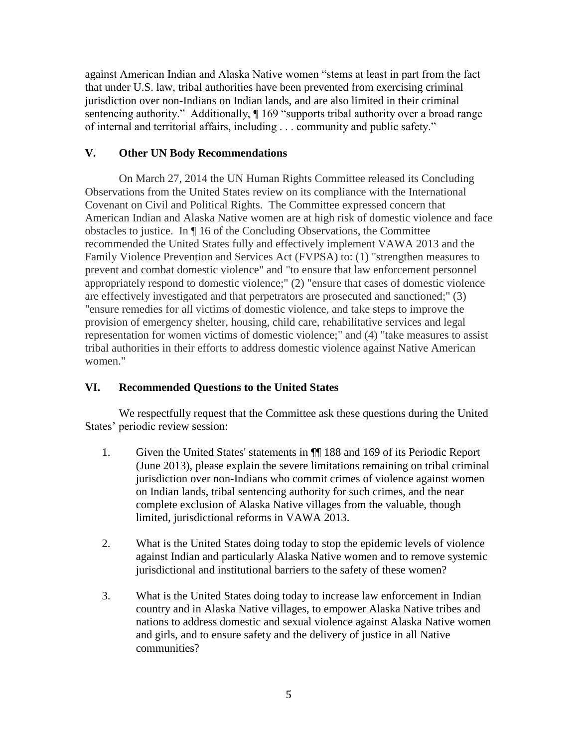against American Indian and Alaska Native women "stems at least in part from the fact that under U.S. law, tribal authorities have been prevented from exercising criminal jurisdiction over non-Indians on Indian lands, and are also limited in their criminal sentencing authority." Additionally,  $\P$  169 "supports tribal authority over a broad range of internal and territorial affairs, including . . . community and public safety."

### **V. Other UN Body Recommendations**

On March 27, 2014 the UN Human Rights Committee released its Concluding Observations from the United States review on its compliance with the International Covenant on Civil and Political Rights. The Committee expressed concern that American Indian and Alaska Native women are at high risk of domestic violence and face obstacles to justice. In ¶ 16 of the Concluding Observations, the Committee recommended the United States fully and effectively implement VAWA 2013 and the Family Violence Prevention and Services Act (FVPSA) to: (1) "strengthen measures to prevent and combat domestic violence" and "to ensure that law enforcement personnel appropriately respond to domestic violence;" (2) "ensure that cases of domestic violence are effectively investigated and that perpetrators are prosecuted and sanctioned;" (3) "ensure remedies for all victims of domestic violence, and take steps to improve the provision of emergency shelter, housing, child care, rehabilitative services and legal representation for women victims of domestic violence;" and (4) "take measures to assist tribal authorities in their efforts to address domestic violence against Native American women."

## **VI. Recommended Questions to the United States**

We respectfully request that the Committee ask these questions during the United States' periodic review session:

- 1. Given the United States' statements in ¶¶ 188 and 169 of its Periodic Report (June 2013), please explain the severe limitations remaining on tribal criminal jurisdiction over non-Indians who commit crimes of violence against women on Indian lands, tribal sentencing authority for such crimes, and the near complete exclusion of Alaska Native villages from the valuable, though limited, jurisdictional reforms in VAWA 2013.
- 2. What is the United States doing today to stop the epidemic levels of violence against Indian and particularly Alaska Native women and to remove systemic jurisdictional and institutional barriers to the safety of these women?
- 3. What is the United States doing today to increase law enforcement in Indian country and in Alaska Native villages, to empower Alaska Native tribes and nations to address domestic and sexual violence against Alaska Native women and girls, and to ensure safety and the delivery of justice in all Native communities?